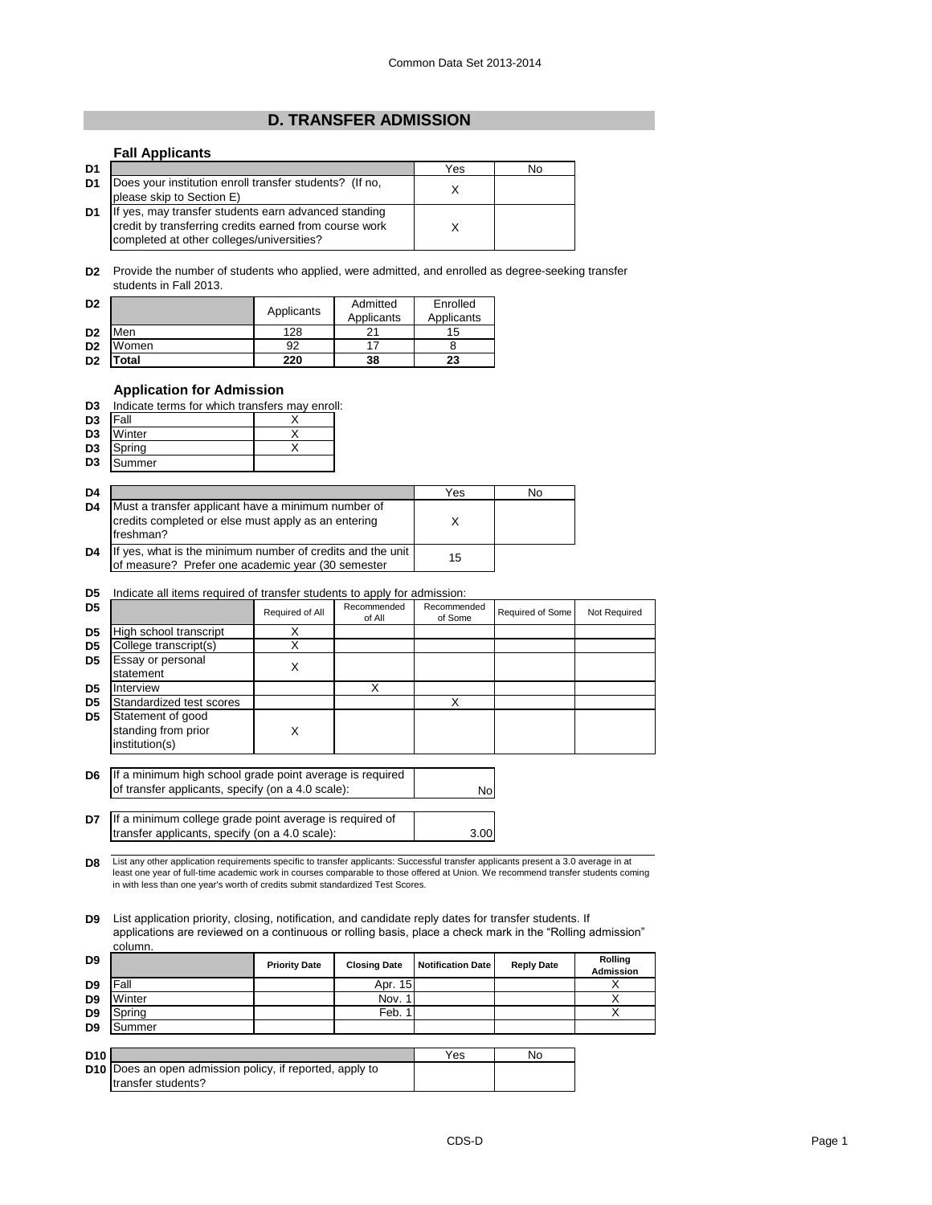## **D. TRANSFER ADMISSION**

## **Fall Applicants**

| D <sub>1</sub> |                                                                                                                                                             | Yes | No |
|----------------|-------------------------------------------------------------------------------------------------------------------------------------------------------------|-----|----|
| D <sub>1</sub> | Does your institution enroll transfer students? (If no,<br>please skip to Section E)                                                                        |     |    |
| D <sub>1</sub> | If yes, may transfer students earn advanced standing<br>credit by transferring credits earned from course work<br>completed at other colleges/universities? |     |    |

**D2** Provide the number of students who applied, were admitted, and enrolled as degree-seeking transfer students in Fall 2013.

| D <sub>2</sub> |                           | Applicants | Admitted<br>Applicants | Enrolled<br>Applicants |
|----------------|---------------------------|------------|------------------------|------------------------|
| D <sub>2</sub> | Men                       | 128        |                        | 15                     |
| D <sub>2</sub> | Women                     | 92         |                        |                        |
| D <sub>2</sub> | $\mathop{\mathsf{Total}}$ | 220        | 38                     | 23                     |

## **Application for Admission**

| D3 | Indicate terms for which transfers may enroll: |  |  |  |  |
|----|------------------------------------------------|--|--|--|--|
|    |                                                |  |  |  |  |

| D <sub>3</sub> | <b>Fall</b>      |  |
|----------------|------------------|--|
| D <sub>3</sub> | Winter           |  |
|                | <b>D3</b> Spring |  |
| D <sub>3</sub> | Summer           |  |

| D <sub>4</sub> |                                                                                                                        | Yes | No |
|----------------|------------------------------------------------------------------------------------------------------------------------|-----|----|
| D <sub>4</sub> | Must a transfer applicant have a minimum number of<br>credits completed or else must apply as an entering<br>freshman? |     |    |
| D <sub>4</sub> | If yes, what is the minimum number of credits and the unit<br>of measure? Prefer one academic year (30 semester        | 15  |    |

## **D5** Indicate all items required of transfer students to apply for admission:

| D <sub>5</sub> |                                                            | Required of All | Recommended<br>of All | Recommended<br>of Some | Required of Some | Not Required |
|----------------|------------------------------------------------------------|-----------------|-----------------------|------------------------|------------------|--------------|
| D <sub>5</sub> | High school transcript                                     |                 |                       |                        |                  |              |
| D <sub>5</sub> | College transcript(s)                                      |                 |                       |                        |                  |              |
| D <sub>5</sub> | Essay or personal<br>statement                             | ⋏               |                       |                        |                  |              |
| D <sub>5</sub> | Interview                                                  |                 | X                     |                        |                  |              |
| D <sub>5</sub> | Standardized test scores                                   |                 |                       |                        |                  |              |
| D <sub>5</sub> | Statement of good<br>standing from prior<br>institution(s) | X               |                       |                        |                  |              |

**D6** If a minimum high school grade point average is required of transfer applicants, specify (on a 4.0 scale):

**D7** 3.00 If a minimum college grade point average is required of transfer applicants, specify (on a 4.0 scale):

**D8** List any other application requirements specific to transfer applicants: Successful transfer applicants present a 3.0 average in at least one year of full-time academic work in courses comparable to those offered at Union. We recommend transfer students coming in with less than one year's worth of credits submit standardized Test Scores.

**D9** List application priority, closing, notification, and candidate reply dates for transfer students. If applications are reviewed on a continuous or rolling basis, place a check mark in the "Rolling admission" column.

| D <sub>9</sub> |        | <b>Priority Date</b> | <b>Closing Date</b> | <b>Notification Date</b> | <b>Reply Date</b> | Rolling<br><b>Admission</b> |
|----------------|--------|----------------------|---------------------|--------------------------|-------------------|-----------------------------|
| D <sub>9</sub> | Fall   |                      | Apr. 15             |                          |                   |                             |
| D <sub>9</sub> | Winter |                      | Nov. 1              |                          |                   |                             |
| D <sub>9</sub> | Spring |                      | Feb.                |                          |                   |                             |
| D <sub>9</sub> | Summer |                      |                     |                          |                   |                             |
|                |        |                      |                     |                          |                   |                             |

| D <sub>10</sub> |                                                                 | Yes | No |
|-----------------|-----------------------------------------------------------------|-----|----|
|                 | <b>D10</b> Does an open admission policy, if reported, apply to |     |    |
|                 | Itransfer students?                                             |     |    |

No